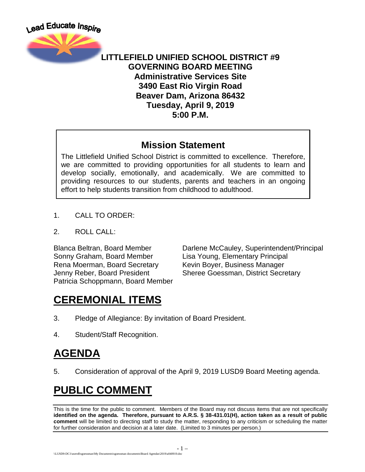

#### **LITTLEFIELD UNIFIED SCHOOL DISTRICT #9 GOVERNING BOARD MEETING Administrative Services Site 3490 East Rio Virgin Road Beaver Dam, Arizona 86432 Tuesday, April 9, 2019 5:00 P.M.**

#### **Mission Statement**

The Littlefield Unified School District is committed to excellence. Therefore, we are committed to providing opportunities for all students to learn and develop socially, emotionally, and academically. We are committed to providing resources to our students, parents and teachers in an ongoing effort to help students transition from childhood to adulthood.

- 1. CALL TO ORDER:
- 2. ROLL CALL:

Sonny Graham, Board Member Lisa Young, Elementary Principal Rena Moerman, Board Secretary Kevin Boyer, Business Manager Patricia Schoppmann, Board Member

Blanca Beltran, Board Member Darlene McCauley, Superintendent/Principal Jenny Reber, Board President Sheree Goessman, District Secretary

# **CEREMONIAL ITEMS**

- 3. Pledge of Allegiance: By invitation of Board President.
- 4. Student/Staff Recognition.

# **AGENDA**

5. Consideration of approval of the April 9, 2019 LUSD9 Board Meeting agenda.

# **PUBLIC COMMENT**

This is the time for the public to comment. Members of the Board may not discuss items that are not specifically **identified on the agenda. Therefore, pursuant to A.R.S. § 38-431.01(H), action taken as a result of public comment** will be limited to directing staff to study the matter, responding to any criticism or scheduling the matter for further consideration and decision at a later date. (Limited to 3 minutes per person.)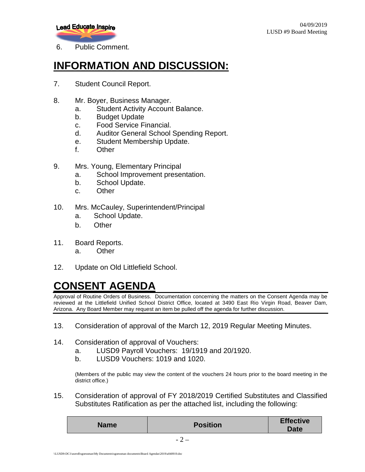

6. Public Comment.

### **INFORMATION AND DISCUSSION:**

- 7. Student Council Report.
- 8. Mr. Boyer, Business Manager.
	- a. Student Activity Account Balance.
	- b. Budget Update
	- c. Food Service Financial.
	- d. Auditor General School Spending Report.
	- e. Student Membership Update.
	- f. Other
- 9. Mrs. Young, Elementary Principal
	- a. School Improvement presentation.
	- b. School Update.
	- c. Other
- 10. Mrs. McCauley, Superintendent/Principal
	- a. School Update.
	- b. Other
- 11. Board Reports.
	- a. Other
- 12. Update on Old Littlefield School.

# **CONSENT AGENDA**

Approval of Routine Orders of Business. Documentation concerning the matters on the Consent Agenda may be reviewed at the Littlefield Unified School District Office, located at 3490 East Rio Virgin Road, Beaver Dam, Arizona. Any Board Member may request an item be pulled off the agenda for further discussion.

13. Consideration of approval of the March 12, 2019 Regular Meeting Minutes.

#### 14. Consideration of approval of Vouchers:

- a. LUSD9 Payroll Vouchers: 19/1919 and 20/1920.
- b. LUSD9 Vouchers: 1019 and 1020.

(Members of the public may view the content of the vouchers 24 hours prior to the board meeting in the district office.)

15. Consideration of approval of FY 2018/2019 Certified Substitutes and Classified Substitutes Ratification as per the attached list, including the following:

| <b>Name</b> | <b>Position</b> | <b>Effective</b><br><b>Date</b> |
|-------------|-----------------|---------------------------------|
|             | -               |                                 |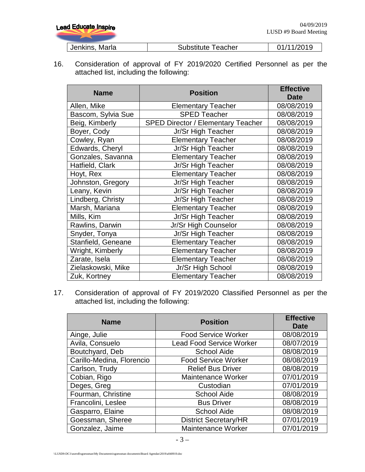| <b>Lead Educate Inspire</b> | 04/09/2019<br>LUSD #9 Board Meeting |            |
|-----------------------------|-------------------------------------|------------|
| Jenkins, Marla              | <b>Substitute Teacher</b>           | 01/11/2019 |

16. Consideration of approval of FY 2019/2020 Certified Personnel as per the attached list, including the following:

| <b>Name</b>        | <b>Position</b>                           | <b>Effective</b><br><b>Date</b> |
|--------------------|-------------------------------------------|---------------------------------|
| Allen, Mike        | <b>Elementary Teacher</b>                 | 08/08/2019                      |
| Bascom, Sylvia Sue | <b>SPED Teacher</b>                       | 08/08/2019                      |
| Beig, Kimberly     | <b>SPED Director / Elementary Teacher</b> | 08/08/2019                      |
| Boyer, Cody        | Jr/Sr High Teacher                        | 08/08/2019                      |
| Cowley, Ryan       | <b>Elementary Teacher</b>                 | 08/08/2019                      |
| Edwards, Cheryl    | Jr/Sr High Teacher                        | 08/08/2019                      |
| Gonzales, Savanna  | <b>Elementary Teacher</b>                 | 08/08/2019                      |
| Hatfield, Clark    | Jr/Sr High Teacher                        | 08/08/2019                      |
| Hoyt, Rex          | <b>Elementary Teacher</b>                 | 08/08/2019                      |
| Johnston, Gregory  | Jr/Sr High Teacher                        | 08/08/2019                      |
| Leany, Kevin       | Jr/Sr High Teacher                        | 08/08/2019                      |
| Lindberg, Christy  | Jr/Sr High Teacher                        | 08/08/2019                      |
| Marsh, Mariana     | <b>Elementary Teacher</b>                 | 08/08/2019                      |
| Mills, Kim         | Jr/Sr High Teacher                        | 08/08/2019                      |
| Rawlins, Darwin    | Jr/Sr High Counselor                      | 08/08/2019                      |
| Snyder, Tonya      | Jr/Sr High Teacher                        | 08/08/2019                      |
| Stanfield, Geneane | <b>Elementary Teacher</b>                 | 08/08/2019                      |
| Wright, Kimberly   | <b>Elementary Teacher</b>                 | 08/08/2019                      |
| Zarate, Isela      | <b>Elementary Teacher</b>                 | 08/08/2019                      |
| Zielaskowski, Mike | Jr/Sr High School                         | 08/08/2019                      |
| Zuk, Kortney       | <b>Elementary Teacher</b>                 | 08/08/2019                      |

17. Consideration of approval of FY 2019/2020 Classified Personnel as per the attached list, including the following:

| <b>Name</b>               | <b>Position</b>                 | <b>Effective</b><br><b>Date</b> |
|---------------------------|---------------------------------|---------------------------------|
| Ainge, Julie              | <b>Food Service Worker</b>      | 08/08/2019                      |
| Avila, Consuelo           | <b>Lead Food Service Worker</b> | 08/07/2019                      |
| Boutchyard, Deb           | <b>School Aide</b>              | 08/08/2019                      |
| Carillo-Medina, Florencio | <b>Food Service Worker</b>      | 08/08/2019                      |
| Carlson, Trudy            | <b>Relief Bus Driver</b>        | 08/08/2019                      |
| Cobian, Rigo              | <b>Maintenance Worker</b>       | 07/01/2019                      |
| Deges, Greg               | Custodian                       | 07/01/2019                      |
| Fourman, Christine        | <b>School Aide</b>              | 08/08/2019                      |
| Francolini, Leslee        | <b>Bus Driver</b>               | 08/08/2019                      |
| Gasparro, Elaine          | <b>School Aide</b>              | 08/08/2019                      |
| Goessman, Sheree          | <b>District Secretary/HR</b>    | 07/01/2019                      |
| Gonzalez, Jaime           | <b>Maintenance Worker</b>       | 07/01/2019                      |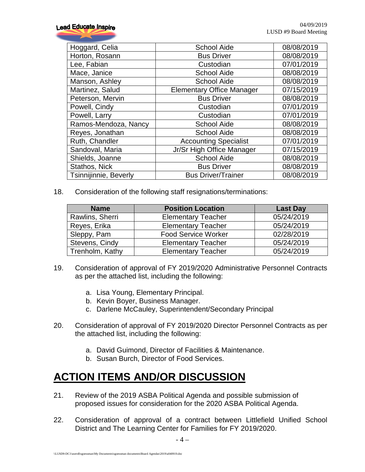| Hoggard, Celia        | <b>School Aide</b>               | 08/08/2019 |
|-----------------------|----------------------------------|------------|
| Horton, Rosann        | <b>Bus Driver</b>                | 08/08/2019 |
| Lee, Fabian           | Custodian                        | 07/01/2019 |
| Mace, Janice          | <b>School Aide</b>               | 08/08/2019 |
| Manson, Ashley        | <b>School Aide</b>               | 08/08/2019 |
| Martinez, Salud       | <b>Elementary Office Manager</b> | 07/15/2019 |
| Peterson, Mervin      | <b>Bus Driver</b>                | 08/08/2019 |
| Powell, Cindy         | Custodian                        | 07/01/2019 |
| Powell, Larry         | Custodian                        | 07/01/2019 |
| Ramos-Mendoza, Nancy  | <b>School Aide</b>               | 08/08/2019 |
| Reyes, Jonathan       | <b>School Aide</b>               | 08/08/2019 |
| Ruth, Chandler        | <b>Accounting Specialist</b>     | 07/01/2019 |
| Sandoval, Maria       | Jr/Sr High Office Manager        | 07/15/2019 |
| Shields, Joanne       | <b>School Aide</b>               | 08/08/2019 |
| Stathos, Nick         | <b>Bus Driver</b>                | 08/08/2019 |
| Tsinnijinnie, Beverly | <b>Bus Driver/Trainer</b>        | 08/08/2019 |

18. Consideration of the following staff resignations/terminations:

| <b>Name</b>     | <b>Position Location</b>   | <b>Last Day</b> |
|-----------------|----------------------------|-----------------|
| Rawlins, Sherri | <b>Elementary Teacher</b>  | 05/24/2019      |
| Reyes, Erika    | <b>Elementary Teacher</b>  | 05/24/2019      |
| Sleppy, Pam     | <b>Food Service Worker</b> | 02/28/2019      |
| Stevens, Cindy  | <b>Elementary Teacher</b>  | 05/24/2019      |
| Trenholm, Kathy | <b>Elementary Teacher</b>  | 05/24/2019      |

- 19. Consideration of approval of FY 2019/2020 Administrative Personnel Contracts as per the attached list, including the following:
	- a. Lisa Young, Elementary Principal.
	- b. Kevin Boyer, Business Manager.
	- c. Darlene McCauley, Superintendent/Secondary Principal
- 20. Consideration of approval of FY 2019/2020 Director Personnel Contracts as per the attached list, including the following:
	- a. David Guimond, Director of Facilities & Maintenance.
	- b. Susan Burch, Director of Food Services.

### **ACTION ITEMS AND/OR DISCUSSION**

- 21. Review of the 2019 ASBA Political Agenda and possible submission of proposed issues for consideration for the 2020 ASBA Political Agenda.
- 22. Consideration of approval of a contract between Littlefield Unified School District and The Learning Center for Families for FY 2019/2020.